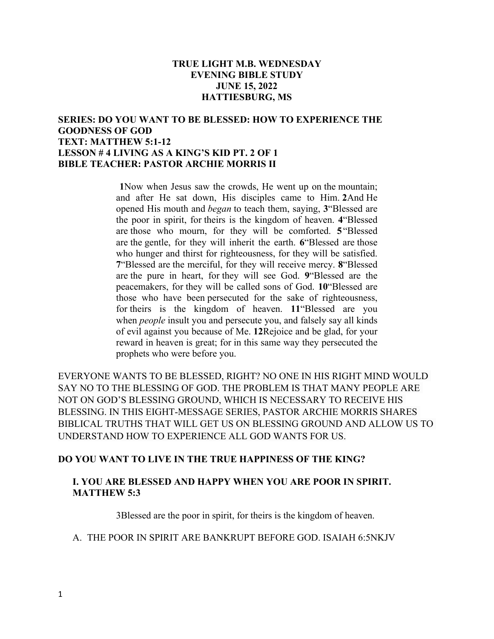# **TRUE LIGHT M.B. WEDNESDAY EVENING BIBLE STUDY JUNE 15, 2022 HATTIESBURG, MS**

# **SERIES: DO YOU WANT TO BE BLESSED: HOW TO EXPERIENCE THE GOODNESS OF GOD TEXT: MATTHEW 5:1-12 LESSON # 4 LIVING AS A KING'S KID PT. 2 OF 1 BIBLE TEACHER: PASTOR ARCHIE MORRIS II**

**1**Now when Jesus saw the crowds, He went up on the mountain; and after He sat down, His disciples came to Him. **2**And He opened His mouth and *began* to teach them, saying, **3**"Blessed are the poor in spirit, for theirs is the kingdom of heaven. **4**"Blessed are those who mourn, for they will be comforted. **5**"Blessed are the gentle, for they will inherit the earth. **6**"Blessed are those who hunger and thirst for righteousness, for they will be satisfied. **7**"Blessed are the merciful, for they will receive mercy. **8**"Blessed are the pure in heart, for they will see God. **9**"Blessed are the peacemakers, for they will be called sons of God. **10**"Blessed are those who have been persecuted for the sake of righteousness, for theirs is the kingdom of heaven. **11**"Blessed are you when *people* insult you and persecute you, and falsely say all kinds of evil against you because of Me. **12**Rejoice and be glad, for your reward in heaven is great; for in this same way they persecuted the prophets who were before you.

EVERYONE WANTS TO BE BLESSED, RIGHT? NO ONE IN HIS RIGHT MIND WOULD SAY NO TO THE BLESSING OF GOD. THE PROBLEM IS THAT MANY PEOPLE ARE NOT ON GOD'S BLESSING GROUND, WHICH IS NECESSARY TO RECEIVE HIS BLESSING. IN THIS EIGHT-MESSAGE SERIES, PASTOR ARCHIE MORRIS SHARES BIBLICAL TRUTHS THAT WILL GET US ON BLESSING GROUND AND ALLOW US TO UNDERSTAND HOW TO EXPERIENCE ALL GOD WANTS FOR US.

# **DO YOU WANT TO LIVE IN THE TRUE HAPPINESS OF THE KING?**

# **I. YOU ARE BLESSED AND HAPPY WHEN YOU ARE POOR IN SPIRIT. MATTHEW 5:3**

3Blessed are the poor in spirit, for theirs is the kingdom of heaven.

#### A. THE POOR IN SPIRIT ARE BANKRUPT BEFORE GOD. ISAIAH 6:5NKJV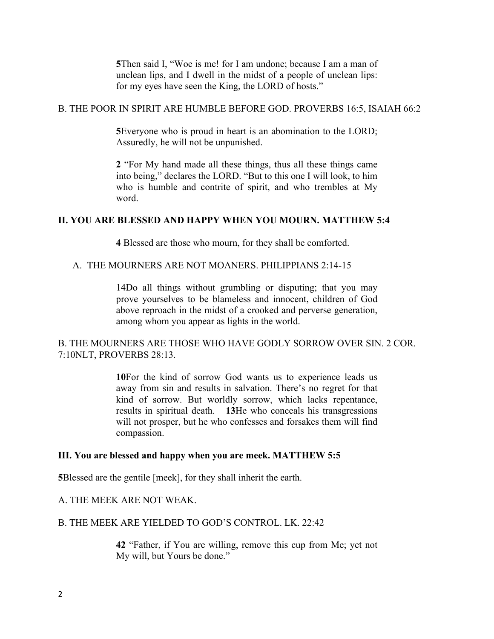**5**Then said I, "Woe is me! for I am undone; because I am a man of unclean lips, and I dwell in the midst of a people of unclean lips: for my eyes have seen the King, the LORD of hosts."

#### B. THE POOR IN SPIRIT ARE HUMBLE BEFORE GOD. PROVERBS 16:5, ISAIAH 66:2

**5**Everyone who is proud in heart is an abomination to the LORD; Assuredly, he will not be unpunished.

**2** "For My hand made all these things, thus all these things came into being," declares the LORD. "But to this one I will look, to him who is humble and contrite of spirit, and who trembles at My word.

## **II. YOU ARE BLESSED AND HAPPY WHEN YOU MOURN. MATTHEW 5:4**

**4** Blessed are those who mourn, for they shall be comforted.

#### A. THE MOURNERS ARE NOT MOANERS. PHILIPPIANS 2:14-15

14Do all things without grumbling or disputing; that you may prove yourselves to be blameless and innocent, children of God above reproach in the midst of a crooked and perverse generation, among whom you appear as lights in the world.

# B. THE MOURNERS ARE THOSE WHO HAVE GODLY SORROW OVER SIN. 2 COR. 7:10NLT, PROVERBS 28:13.

**10**For the kind of sorrow God wants us to experience leads us away from sin and results in salvation. There's no regret for that kind of sorrow. But worldly sorrow, which lacks repentance, results in spiritual death. **13**He who conceals his transgressions will not prosper, but he who confesses and forsakes them will find compassion.

#### **III. You are blessed and happy when you are meek. MATTHEW 5:5**

**5**Blessed are the gentile [meek], for they shall inherit the earth.

## A. THE MEEK ARE NOT WEAK.

#### B. THE MEEK ARE YIELDED TO GOD'S CONTROL. LK. 22:42

**42** "Father, if You are willing, remove this cup from Me; yet not My will, but Yours be done."